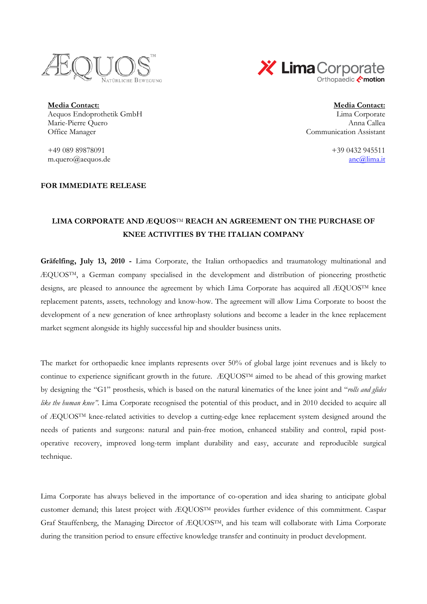



**Media Contact: Media Contact:** Aequos Endoprothetik GmbH Lima Corporate Marie-Pierre Quero Office Manager

+49 089 89878091 +39 0432 945511 m.quero@aequos.de anc@lima.it

## **FOR IMMEDIATE RELEASE**

Anna Callea Communication Assistant

## **LIMA CORPORATE AND ÆQUOS**TM **REACH AN AGREEMENT ON THE PURCHASE OF KNEE ACTIVITIES BY THE ITALIAN COMPANY**

**Gräfelfing, July 13, 2010 -** Lima Corporate, the Italian orthopaedics and traumatology multinational and ÆQUOSTM, a German company specialised in the development and distribution of pioneering prosthetic designs, are pleased to announce the agreement by which Lima Corporate has acquired all ÆQUOSTM knee replacement patents, assets, technology and know-how. The agreement will allow Lima Corporate to boost the development of a new generation of knee arthroplasty solutions and become a leader in the knee replacement market segment alongside its highly successful hip and shoulder business units.

The market for orthopaedic knee implants represents over 50% of global large joint revenues and is likely to continue to experience significant growth in the future. ÆQUOSTM aimed to be ahead of this growing market by designing the "G1" prosthesis, which is based on the natural kinematics of the knee joint and "*rolls and glides like the human knee"*. Lima Corporate recognised the potential of this product, and in 2010 decided to acquire all of ÆQUOSTM knee-related activities to develop a cutting-edge knee replacement system designed around the needs of patients and surgeons: natural and pain-free motion, enhanced stability and control, rapid postoperative recovery, improved long-term implant durability and easy, accurate and reproducible surgical technique.

Lima Corporate has always believed in the importance of co-operation and idea sharing to anticipate global customer demand; this latest project with ÆQUOSTM provides further evidence of this commitment. Caspar Graf Stauffenberg, the Managing Director of ÆQUOSTM, and his team will collaborate with Lima Corporate during the transition period to ensure effective knowledge transfer and continuity in product development.